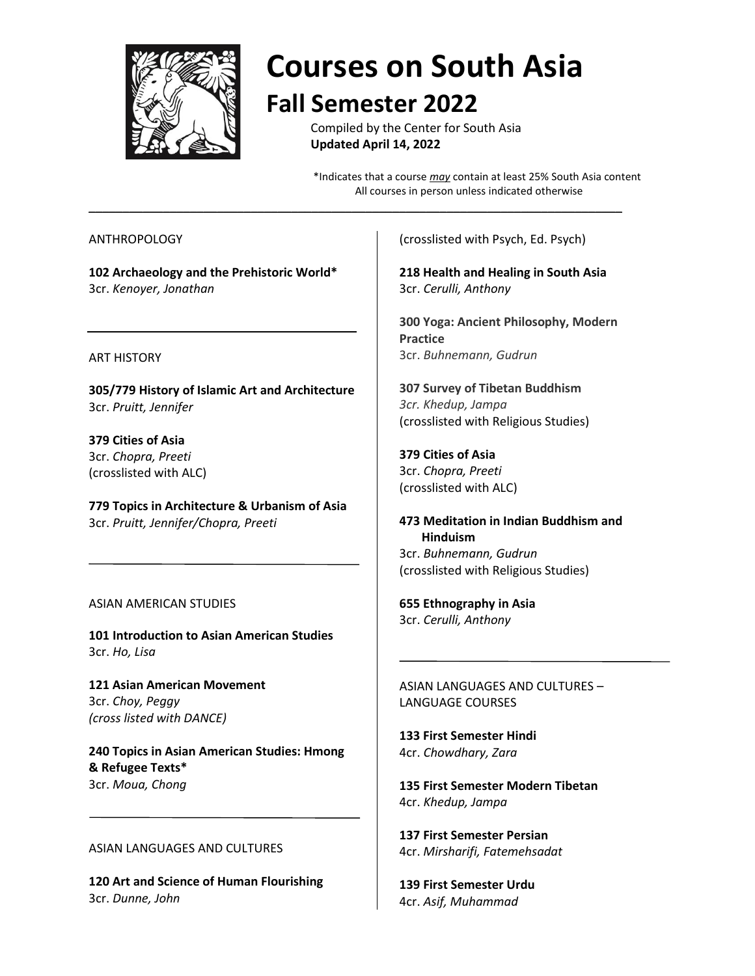

# **Courses on South Asia Fall Semester 2022**

Compiled by the Center for South Asia **Updated April 14, 2022**

\_\_\_\_\_\_\_\_\_\_\_\_\_\_\_\_\_\_\_\_\_\_\_\_\_\_\_\_\_\_\_\_\_\_\_\_\_\_\_\_\_\_\_\_\_\_\_\_\_\_\_\_\_\_\_\_\_\_\_\_\_\_\_\_\_\_\_\_\_\_\_\_\_\_\_\_\_\_\_

\*Indicates that a course *may* contain at least 25% South Asia content All courses in person unless indicated otherwise

## ANTHROPOLOGY

**102 Archaeology and the Prehistoric World\*** 3cr. *Kenoyer, Jonathan*

#### ART HISTORY

**305/779 History of Islamic Art and Architecture** 3cr. *Pruitt, Jennifer*

**379 Cities of Asia** 3cr. *Chopra, Preeti* (crosslisted with ALC)

**779 Topics in Architecture & Urbanism of Asia** 3cr. *Pruitt, Jennifer/Chopra, Preeti*

# ASIAN AMERICAN STUDIES

**101 Introduction to Asian American Studies** 3cr. *Ho, Lisa*

**121 Asian American Movement** 3cr. *Choy, Peggy (cross listed with DANCE)*

**240 Topics in Asian American Studies: Hmong & Refugee Texts\*** 3cr. *Moua, Chong*

#### ASIAN LANGUAGES AND CULTURES

**120 Art and Science of Human Flourishing** 3cr. *Dunne, John*

(crosslisted with Psych, Ed. Psych)

**218 Health and Healing in South Asia** 3cr. *Cerulli, Anthony*

**300 Yoga: Ancient Philosophy, Modern Practice** 3cr. *Buhnemann, Gudrun*

**307 Survey of Tibetan Buddhism** *3cr. Khedup, Jampa* (crosslisted with Religious Studies)

**379 Cities of Asia** 3cr. *Chopra, Preeti* (crosslisted with ALC)

**473 Meditation in Indian Buddhism and Hinduism** 3cr. *Buhnemann, Gudrun* (crosslisted with Religious Studies)

**655 Ethnography in Asia** 3cr. *Cerulli, Anthony*

ASIAN LANGUAGES AND CULTURES – LANGUAGE COURSES

**133 First Semester Hindi** 4cr. *Chowdhary, Zara*

**135 First Semester Modern Tibetan**  4cr. *Khedup, Jampa*

**137 First Semester Persian**  4cr. *Mirsharifi, Fatemehsadat*

**139 First Semester Urdu**  4cr. *Asif, Muhammad*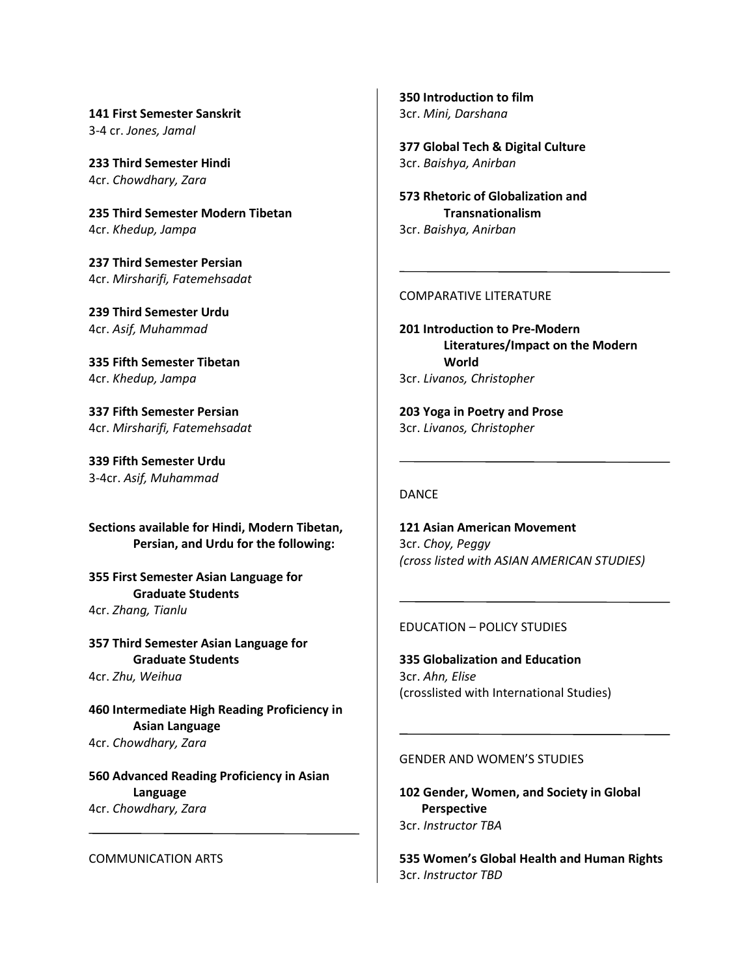**141 First Semester Sanskrit** 3-4 cr. *Jones, Jamal*

**233 Third Semester Hindi**  4cr. *Chowdhary, Zara*

**235 Third Semester Modern Tibetan**  4cr. *Khedup, Jampa*

**237 Third Semester Persian**  4cr. *Mirsharifi, Fatemehsadat*

**239 Third Semester Urdu**  4cr. *Asif, Muhammad*

**335 Fifth Semester Tibetan**  4cr. *Khedup, Jampa*

**337 Fifth Semester Persian**  4cr. *Mirsharifi, Fatemehsadat*

**339 Fifth Semester Urdu**  3-4cr. *Asif, Muhammad*

**Sections available for Hindi, Modern Tibetan, Persian, and Urdu for the following:**

**355 First Semester Asian Language for Graduate Students** 4cr. *Zhang, Tianlu*

**357 Third Semester Asian Language for Graduate Students** 4cr. *Zhu, Weihua*

**460 Intermediate High Reading Proficiency in Asian Language** 4cr. *Chowdhary, Zara*

**560 Advanced Reading Proficiency in Asian Language** 4cr. *Chowdhary, Zara*

#### COMMUNICATION ARTS

**350 Introduction to film** 3cr. *Mini, Darshana*

**377 Global Tech & Digital Culture** 3cr. *Baishya, Anirban*

**573 Rhetoric of Globalization and Transnationalism** 3cr. *Baishya, Anirban*

#### COMPARATIVE LITERATURE

**201 Introduction to Pre-Modern Literatures/Impact on the Modern World** 3cr. *Livanos, Christopher*

**203 Yoga in Poetry and Prose** 3cr. *Livanos, Christopher*

# DANCE

**121 Asian American Movement** 3cr. *Choy, Peggy (cross listed with ASIAN AMERICAN STUDIES)*

## EDUCATION – POLICY STUDIES

**335 Globalization and Education**  3cr. *Ahn, Elise* (crosslisted with International Studies)

# GENDER AND WOMEN'S STUDIES

**102 Gender, Women, and Society in Global Perspective**  3cr. *Instructor TBA*

**535 Women's Global Health and Human Rights** 3cr. *Instructor TBD*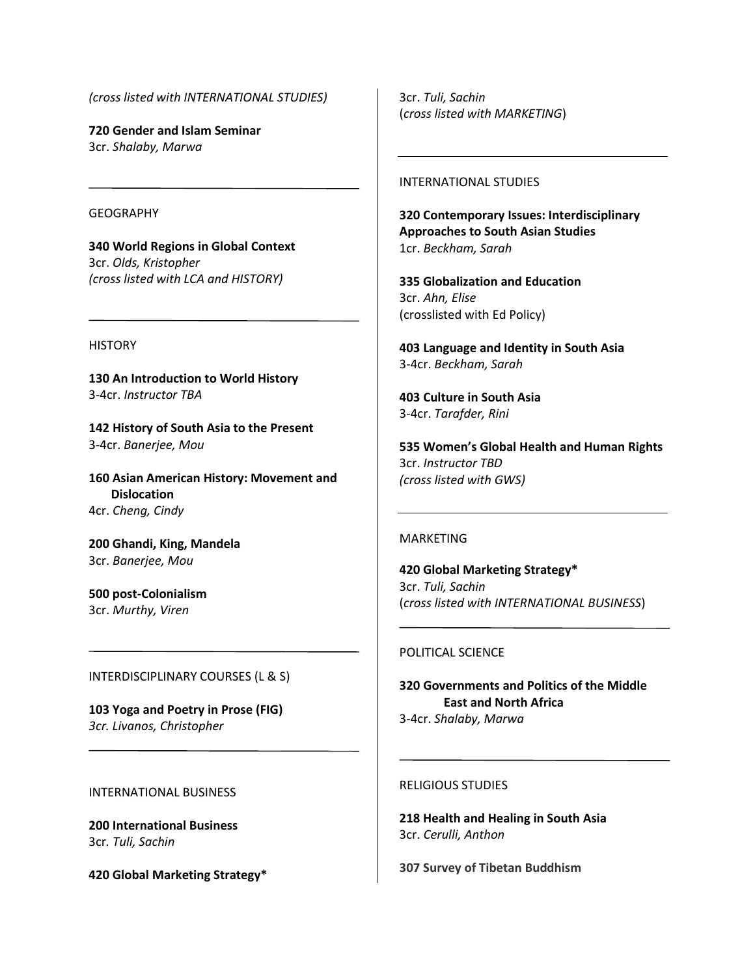*(cross listed with INTERNATIONAL STUDIES)*

**720 Gender and Islam Seminar** 3cr. *Shalaby, Marwa*

# **GEOGRAPHY**

**340 World Regions in Global Context** 3cr. *Olds, Kristopher (cross listed with LCA and HISTORY)*

## **HISTORY**

**130 An Introduction to World History** 3-4cr. *Instructor TBA*

**142 History of South Asia to the Present** 3-4cr. *Banerjee, Mou*

**160 Asian American History: Movement and Dislocation** 4cr. *Cheng, Cindy*

**200 Ghandi, King, Mandela** 3cr. *Banerjee, Mou*

**500 post-Colonialism** 3cr. *Murthy, Viren*

#### INTERDISCIPLINARY COURSES (L & S)

**103 Yoga and Poetry in Prose (FIG)** *3cr. Livanos, Christopher*

## INTERNATIONAL BUSINESS

**200 International Business** 3cr*. Tuli, Sachin* 

**420 Global Marketing Strategy\***

3cr. *Tuli, Sachin*  (*cross listed with MARKETING*)

#### INTERNATIONAL STUDIES

**320 Contemporary Issues: Interdisciplinary Approaches to South Asian Studies** 1cr. *Beckham, Sarah*

**335 Globalization and Education**  3cr. *Ahn, Elise* (crosslisted with Ed Policy)

**403 Language and Identity in South Asia** 3-4cr. *Beckham, Sarah*

**403 Culture in South Asia** 3-4cr. *Tarafder, Rini*

**535 Women's Global Health and Human Rights** 3cr. *Instructor TBD (cross listed with GWS)*

#### MARKETING

**420 Global Marketing Strategy\*** 3cr. *Tuli, Sachin*  (*cross listed with INTERNATIONAL BUSINESS*)

#### POLITICAL SCIENCE

**320 Governments and Politics of the Middle East and North Africa** 3-4cr. *Shalaby, Marwa*

#### RELIGIOUS STUDIES

**218 Health and Healing in South Asia** 3cr. *Cerulli, Anthon*

**307 Survey of Tibetan Buddhism**